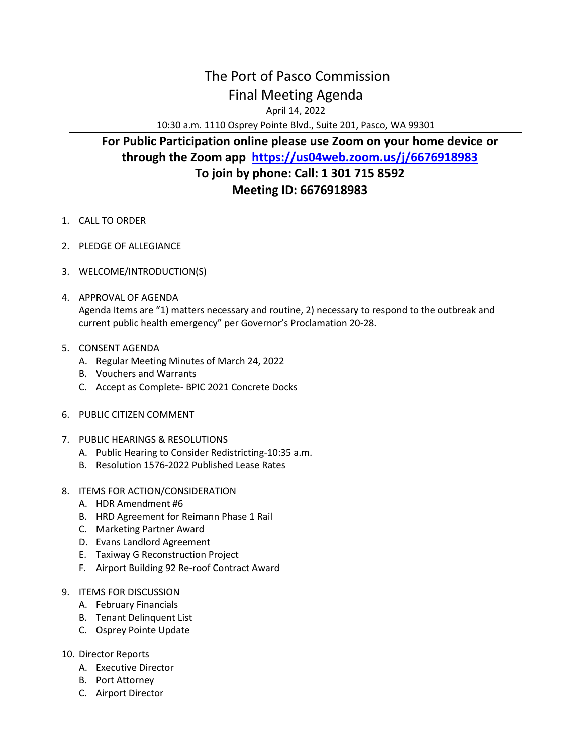## The Port of Pasco Commission Final Meeting Agenda

April 14, 2022

10:30 a.m. 1110 Osprey Pointe Blvd., Suite 201, Pasco, WA 99301

## **For Public Participation online please use Zoom on your home device or through the Zoom app <https://us04web.zoom.us/j/6676918983> To join by phone: Call: 1 301 715 8592 Meeting ID: 6676918983**

- 1. CALL TO ORDER
- 2. PLEDGE OF ALLEGIANCE
- 3. WELCOME/INTRODUCTION(S)
- 4. APPROVAL OF AGENDA Agenda Items are "1) matters necessary and routine, 2) necessary to respond to the outbreak and current public health emergency" per Governor's Proclamation 20-28.
- 5. CONSENT AGENDA
	- A. Regular Meeting Minutes of March 24, 2022
	- B. Vouchers and Warrants
	- C. Accept as Complete- BPIC 2021 Concrete Docks
- 6. PUBLIC CITIZEN COMMENT
- 7. PUBLIC HEARINGS & RESOLUTIONS
	- A. Public Hearing to Consider Redistricting-10:35 a.m.
	- B. Resolution 1576-2022 Published Lease Rates
- 8. ITEMS FOR ACTION/CONSIDERATION
	- A. HDR Amendment #6
	- B. HRD Agreement for Reimann Phase 1 Rail
	- C. Marketing Partner Award
	- D. Evans Landlord Agreement
	- E. Taxiway G Reconstruction Project
	- F. Airport Building 92 Re-roof Contract Award
- 9. ITEMS FOR DISCUSSION
	- A. February Financials
	- B. Tenant Delinquent List
	- C. Osprey Pointe Update
- 10. Director Reports
	- A. Executive Director
	- B. Port Attorney
	- C. Airport Director